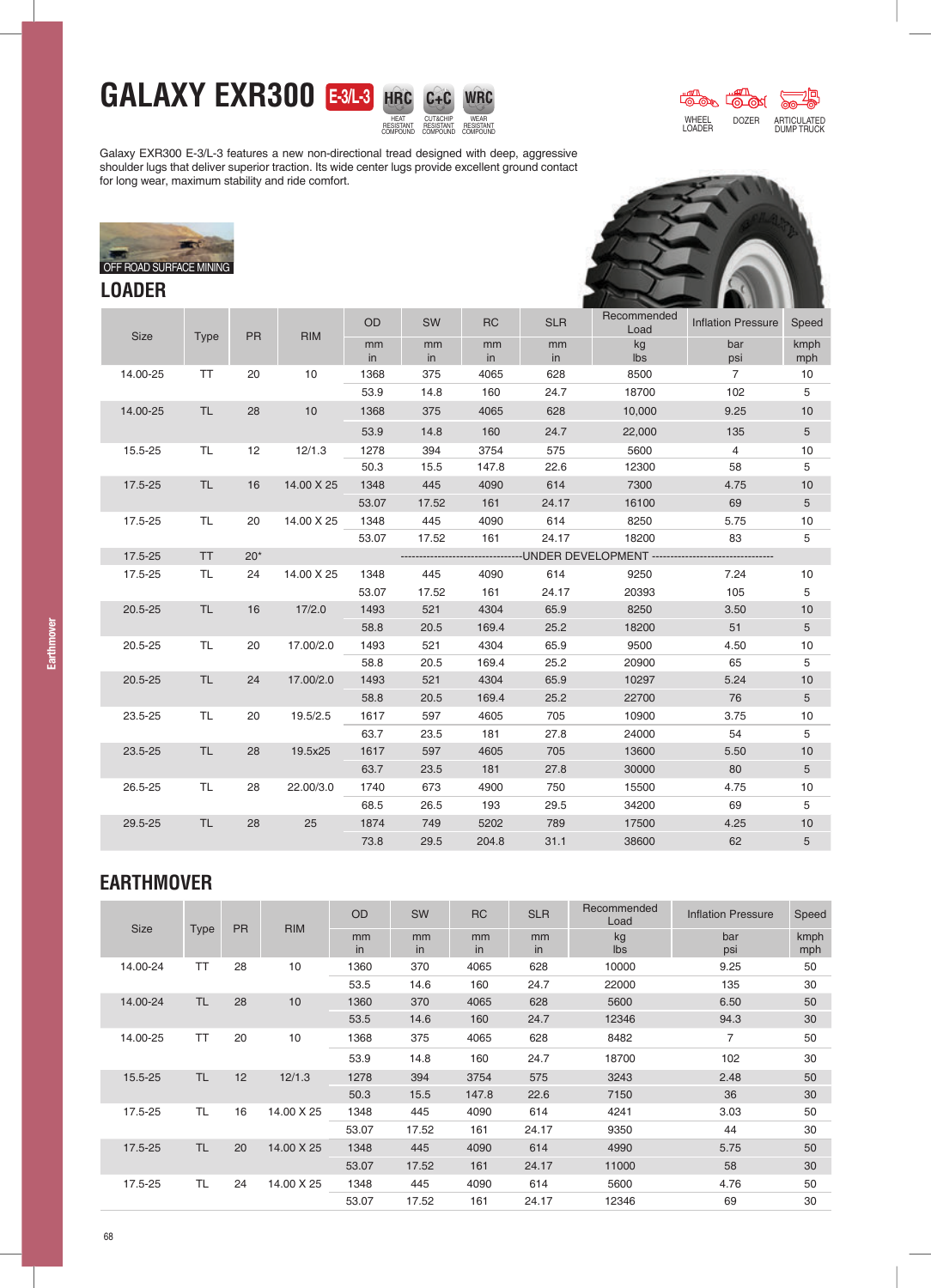## **GALAXY EXR300 E-3/L-3**



CUT&CHIP RESISTANT COMPOUND WEAR RESISTANT **COMPOUND** 

**WRC**



Galaxy EXR300 E-3/L-3 features a new non-directional tread designed with deep, aggressive shoulder lugs that deliver superior traction. Its wide center lugs provide excellent ground contact for long wear, maximum stability and ride comfort.



## **LOADER**



|             |             | Type      | <b>PR</b> | <b>RIM</b>                                                                              | <b>OD</b> | SW       | <b>RC</b> | <b>SLR</b> | Recommended<br>Load | <b>Inflation Pressure</b> | Speed           |  |
|-------------|-------------|-----------|-----------|-----------------------------------------------------------------------------------------|-----------|----------|-----------|------------|---------------------|---------------------------|-----------------|--|
| <b>Size</b> |             |           |           |                                                                                         | mm<br>in  | mm<br>in | mm<br>in  | mm<br>in   | kg<br>lbs           | bar<br>psi                | kmph<br>mph     |  |
| 14.00-25    |             | <b>TT</b> | 20        | 10                                                                                      | 1368      | 375      | 4065      | 628        | 8500                | $\overline{7}$            | 10              |  |
|             |             |           |           |                                                                                         | 53.9      | 14.8     | 160       | 24.7       | 18700               | 102                       | 5               |  |
| 14.00-25    |             | TL.       | 28        | 10                                                                                      | 1368      | 375      | 4065      | 628        | 10,000              | 9.25                      | 10              |  |
|             |             |           |           |                                                                                         | 53.9      | 14.8     | 160       | 24.7       | 22,000              | 135                       | $5\phantom{.0}$ |  |
| 15.5-25     |             | TL.       | 12        | 12/1.3                                                                                  | 1278      | 394      | 3754      | 575        | 5600                | $\overline{4}$            | 10              |  |
|             |             |           |           |                                                                                         | 50.3      | 15.5     | 147.8     | 22.6       | 12300               | 58                        | 5               |  |
| 17.5-25     |             | TL.       | 16        | 14.00 X 25                                                                              | 1348      | 445      | 4090      | 614        | 7300                | 4.75                      | 10              |  |
|             |             |           |           |                                                                                         | 53.07     | 17.52    | 161       | 24.17      | 16100               | 69                        | 5               |  |
|             | 17.5-25     | TL.       | 20        | 14.00 X 25                                                                              | 1348      | 445      | 4090      | 614        | 8250                | 5.75                      | 10              |  |
|             |             |           |           |                                                                                         | 53.07     | 17.52    | 161       | 24.17      | 18200               | 83                        | 5               |  |
| 17.5-25     |             | <b>TT</b> | $20*$     | -------------UNDER                          DEVELOPMENT ------------------------------- |           |          |           |            |                     |                           |                 |  |
| 17.5-25     |             | TL.       | 24        | 14.00 X 25                                                                              | 1348      | 445      | 4090      | 614        | 9250                | 7.24                      | 10              |  |
|             |             |           |           |                                                                                         | 53.07     | 17.52    | 161       | 24.17      | 20393               | 105                       | 5               |  |
| $20.5 - 25$ |             | TL.       | 16        | 17/2.0                                                                                  | 1493      | 521      | 4304      | 65.9       | 8250                | 3.50                      | 10              |  |
|             |             |           |           |                                                                                         | 58.8      | 20.5     | 169.4     | 25.2       | 18200               | 51                        | 5               |  |
| 20.5-25     |             | TL.       | 20        | 17.00/2.0                                                                               | 1493      | 521      | 4304      | 65.9       | 9500                | 4.50                      | 10              |  |
|             |             |           |           |                                                                                         | 58.8      | 20.5     | 169.4     | 25.2       | 20900               | 65                        | 5               |  |
|             | $20.5 - 25$ | <b>TL</b> | 24        | 17.00/2.0                                                                               | 1493      | 521      | 4304      | 65.9       | 10297               | 5.24                      | 10              |  |
|             |             |           |           |                                                                                         | 58.8      | 20.5     | 169.4     | 25.2       | 22700               | 76                        | 5               |  |
|             | 23.5-25     | <b>TL</b> | 20        | 19.5/2.5                                                                                | 1617      | 597      | 4605      | 705        | 10900               | 3.75                      | 10              |  |
|             |             |           |           |                                                                                         | 63.7      | 23.5     | 181       | 27.8       | 24000               | 54                        | 5               |  |
| 23.5-25     |             | TL.       | 28        | 19.5x25                                                                                 | 1617      | 597      | 4605      | 705        | 13600               | 5.50                      | 10              |  |
|             |             |           |           |                                                                                         | 63.7      | 23.5     | 181       | 27.8       | 30000               | 80                        | 5               |  |
| 26.5-25     |             | TL.       | 28        | 22.00/3.0                                                                               | 1740      | 673      | 4900      | 750        | 15500               | 4.75                      | 10              |  |
|             |             |           |           |                                                                                         | 68.5      | 26.5     | 193       | 29.5       | 34200               | 69                        | 5               |  |
| 29.5-25     |             | TL.       | 28        | 25                                                                                      | 1874      | 749      | 5202      | 789        | 17500               | 4.25                      | 10              |  |
|             |             |           |           |                                                                                         | 73.8      | 29.5     | 204.8     | 31.1       | 38600               | 62                        | 5               |  |

## **EARTHMOVER**

| <b>Size</b> |             | <b>PR</b> | <b>RIM</b> | OD       | SW       | <b>RC</b> | <b>SLR</b> | Recommended<br>Load | <b>Inflation Pressure</b> | Speed       |
|-------------|-------------|-----------|------------|----------|----------|-----------|------------|---------------------|---------------------------|-------------|
|             | <b>Type</b> |           |            | mm<br>in | mm<br>in | mm<br>in  | mm<br>in   | kg<br>lbs           | bar<br>psi                | kmph<br>mph |
| 14.00-24    | TT          | 28        | 10         | 1360     | 370      | 4065      | 628        | 10000               | 9.25                      | 50          |
|             |             |           |            | 53.5     | 14.6     | 160       | 24.7       | 22000               | 135                       | 30          |
| 14.00-24    | <b>TL</b>   | 28        | 10         | 1360     | 370      | 4065      | 628        | 5600                | 6.50                      | 50          |
|             |             |           |            | 53.5     | 14.6     | 160       | 24.7       | 12346               | 94.3                      | 30          |
| 14.00-25    | TT          | 20        | 10         | 1368     | 375      | 4065      | 628        | 8482                | $\overline{7}$            | 50          |
|             |             |           |            | 53.9     | 14.8     | 160       | 24.7       | 18700               | 102                       | 30          |
| 15.5-25     | <b>TL</b>   | 12        | 12/1.3     | 1278     | 394      | 3754      | 575        | 3243                | 2.48                      | 50          |
|             |             |           |            | 50.3     | 15.5     | 147.8     | 22.6       | 7150                | 36                        | 30          |
| 17.5-25     | <b>TL</b>   | 16        | 14.00 X 25 | 1348     | 445      | 4090      | 614        | 4241                | 3.03                      | 50          |
|             |             |           |            | 53.07    | 17.52    | 161       | 24.17      | 9350                | 44                        | 30          |
| 17.5-25     | <b>TL</b>   | 20        | 14.00 X 25 | 1348     | 445      | 4090      | 614        | 4990                | 5.75                      | 50          |
|             |             |           |            | 53.07    | 17.52    | 161       | 24.17      | 11000               | 58                        | 30          |
| 17.5-25     | TL          | 24        | 14.00 X 25 | 1348     | 445      | 4090      | 614        | 5600                | 4.76                      | 50          |
|             |             |           |            | 53.07    | 17.52    | 161       | 24.17      | 12346               | 69                        | 30          |